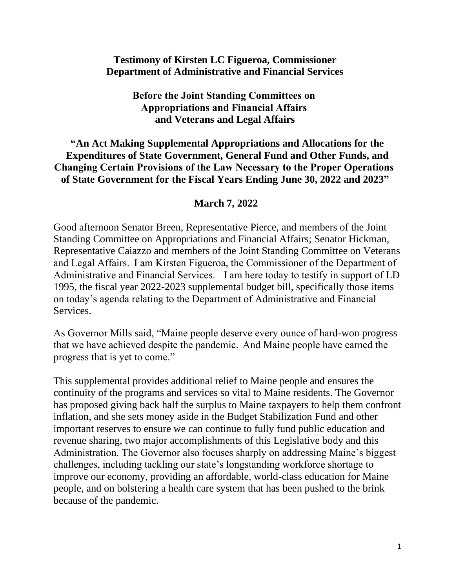## **Testimony of Kirsten LC Figueroa, Commissioner Department of Administrative and Financial Services**

### **Before the Joint Standing Committees on  Appropriations and Financial Affairs  and Veterans and Legal Affairs**

### **"An Act Making Supplemental Appropriations and Allocations for the Expenditures of State Government, General Fund and Other Funds, and Changing Certain Provisions of the Law Necessary to the Proper Operations  of State Government for the Fiscal Years Ending June 30, 2022 and 2023"**

## **March 7, 2022**

Good afternoon Senator Breen, Representative Pierce, and members of the Joint Standing Committee on Appropriations and Financial Affairs; Senator Hickman, Representative Caiazzo and members of the Joint Standing Committee on Veterans and Legal Affairs.  I am Kirsten Figueroa, the Commissioner of the Department of Administrative and Financial Services.    I am here today to testify in support of LD 1995, the fiscal year 2022-2023 supplemental budget bill, specifically those items on today's agenda relating to the Department of Administrative and Financial Services.

As Governor Mills said, "Maine people deserve every ounce of hard-won progress that we have achieved despite the pandemic.  And Maine people have earned the progress that is yet to come."

This supplemental provides additional relief to Maine people and ensures the continuity of the programs and services so vital to Maine residents. The Governor has proposed giving back half the surplus to Maine taxpayers to help them confront inflation, and she sets money aside in the Budget Stabilization Fund and other important reserves to ensure we can continue to fully fund public education and revenue sharing, two major accomplishments of this Legislative body and this Administration. The Governor also focuses sharply on addressing Maine's biggest challenges, including tackling our state's longstanding workforce shortage to improve our economy, providing an affordable, world-class education for Maine people, and on bolstering a health care system that has been pushed to the brink because of the pandemic.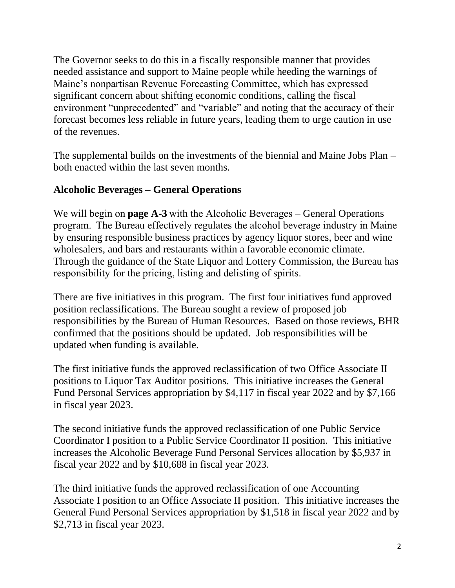The Governor seeks to do this in a fiscally responsible manner that provides needed assistance and support to Maine people while heeding the warnings of Maine's nonpartisan Revenue Forecasting Committee, which has expressed significant concern about shifting economic conditions, calling the fiscal environment "unprecedented" and "variable" and noting that the accuracy of their forecast becomes less reliable in future years, leading them to urge caution in use of the revenues.

The supplemental builds on the investments of the biennial and Maine Jobs Plan – both enacted within the last seven months.

# **Alcoholic Beverages – General Operations**

We will begin on **page A-3** with the Alcoholic Beverages – General Operations program.  The Bureau effectively regulates the alcohol beverage industry in Maine by ensuring responsible business practices by agency liquor stores, beer and wine wholesalers, and bars and restaurants within a favorable economic climate. Through the guidance of the State Liquor and Lottery Commission, the Bureau has responsibility for the pricing, listing and delisting of spirits. 

There are five initiatives in this program. The first four initiatives fund approved position reclassifications. The Bureau sought a review of proposed job responsibilities by the Bureau of Human Resources. Based on those reviews, BHR confirmed that the positions should be updated. Job responsibilities will be updated when funding is available.

The first initiative funds the approved reclassification of two Office Associate II positions to Liquor Tax Auditor positions. This initiative increases the General Fund Personal Services appropriation by \$4,117 in fiscal year 2022 and by \$7,166 in fiscal year 2023.

The second initiative funds the approved reclassification of one Public Service Coordinator I position to a Public Service Coordinator II position. This initiative increases the Alcoholic Beverage Fund Personal Services allocation by \$5,937 in fiscal year 2022 and by \$10,688 in fiscal year 2023.

The third initiative funds the approved reclassification of one Accounting Associate I position to an Office Associate II position. This initiative increases the General Fund Personal Services appropriation by \$1,518 in fiscal year 2022 and by \$2,713 in fiscal year 2023.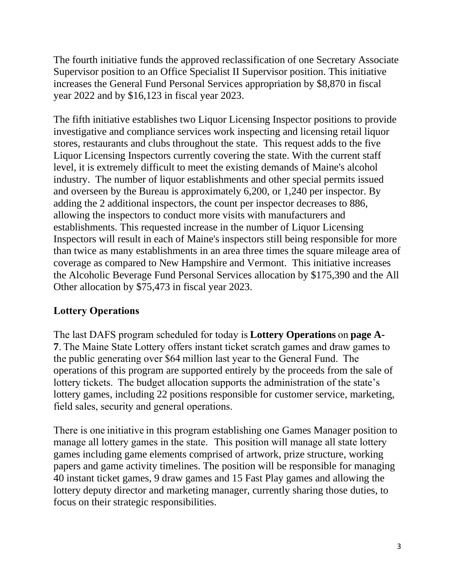The fourth initiative funds the approved reclassification of one Secretary Associate Supervisor position to an Office Specialist II Supervisor position. This initiative increases the General Fund Personal Services appropriation by \$8,870 in fiscal year 2022 and by \$16,123 in fiscal year 2023.

The fifth initiative establishes two Liquor Licensing Inspector positions to provide investigative and compliance services work inspecting and licensing retail liquor stores, restaurants and clubs throughout the state. This request adds to the five Liquor Licensing Inspectors currently covering the state. With the current staff level, it is extremely difficult to meet the existing demands of Maine's alcohol industry. The number of liquor establishments and other special permits issued and overseen by the Bureau is approximately 6,200, or 1,240 per inspector. By adding the 2 additional inspectors, the count per inspector decreases to 886, allowing the inspectors to conduct more visits with manufacturers and establishments. This requested increase in the number of Liquor Licensing Inspectors will result in each of Maine's inspectors still being responsible for more than twice as many establishments in an area three times the square mileage area of coverage as compared to New Hampshire and Vermont. This initiative increases the Alcoholic Beverage Fund Personal Services allocation by \$175,390 and the All Other allocation by \$75,473 in fiscal year 2023.

# **Lottery Operations**

The last DAFS program scheduled for today is **Lottery Operations** on **page A-7**. The Maine State Lottery offers instant ticket scratch games and draw games to the public generating over \$64 million last year to the General Fund.  The operations of this program are supported entirely by the proceeds from the sale of lottery tickets.  The budget allocation supports the administration of the state's lottery games, including 22 positions responsible for customer service, marketing, field sales, security and general operations.  

There is one initiative in this program establishing one Games Manager position to manage all lottery games in the state.   This position will manage all state lottery games including game elements comprised of artwork, prize structure, working papers and game activity timelines. The position will be responsible for managing 40 instant ticket games, 9 draw games and 15 Fast Play games and allowing the lottery deputy director and marketing manager, currently sharing those duties, to focus on their strategic responsibilities.